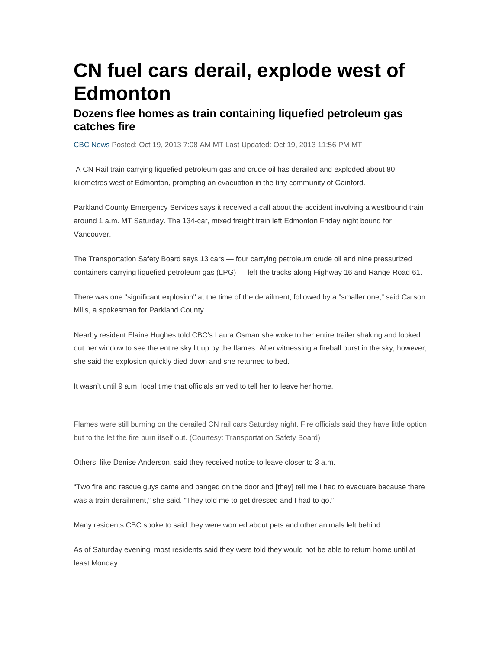# **CN fuel cars derail, explode west of Edmonton**

#### **Dozens flee homes as train containing liquefied petroleum gas catches fire**

CBC News Posted: Oct 19, 2013 7:08 AM MT Last Updated: Oct 19, 2013 11:56 PM MT

 A CN Rail train carrying liquefied petroleum gas and crude oil has derailed and exploded about 80 kilometres west of Edmonton, prompting an evacuation in the tiny community of Gainford.

Parkland County Emergency Services says it received a call about the accident involving a westbound train around 1 a.m. MT Saturday. The 134-car, mixed freight train left Edmonton Friday night bound for Vancouver.

The Transportation Safety Board says 13 cars — four carrying petroleum crude oil and nine pressurized containers carrying liquefied petroleum gas (LPG) — left the tracks along Highway 16 and Range Road 61.

There was one "significant explosion" at the time of the derailment, followed by a "smaller one," said Carson Mills, a spokesman for Parkland County.

Nearby resident Elaine Hughes told CBC's Laura Osman she woke to her entire trailer shaking and looked out her window to see the entire sky lit up by the flames. After witnessing a fireball burst in the sky, however, she said the explosion quickly died down and she returned to bed.

It wasn't until 9 a.m. local time that officials arrived to tell her to leave her home.

Flames were still burning on the derailed CN rail cars Saturday night. Fire officials said they have little option but to the let the fire burn itself out. (Courtesy: Transportation Safety Board)

Others, like Denise Anderson, said they received notice to leave closer to 3 a.m.

"Two fire and rescue guys came and banged on the door and [they] tell me I had to evacuate because there was a train derailment," she said. "They told me to get dressed and I had to go."

Many residents CBC spoke to said they were worried about pets and other animals left behind.

As of Saturday evening, most residents said they were told they would not be able to return home until at least Monday.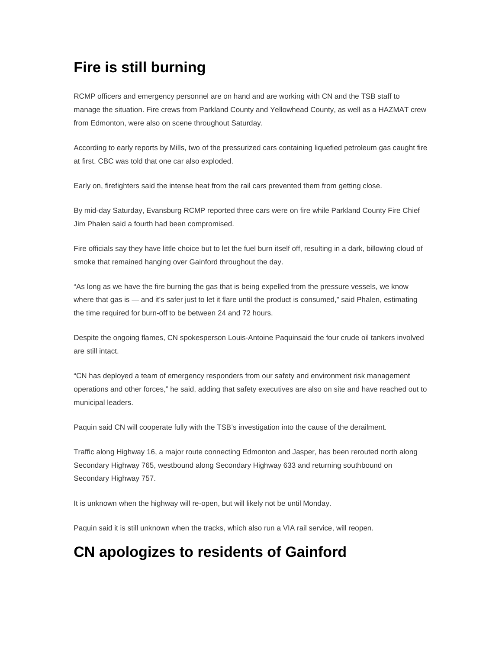## **Fire is still burning**

RCMP officers and emergency personnel are on hand and are working with CN and the TSB staff to manage the situation. Fire crews from Parkland County and Yellowhead County, as well as a HAZMAT crew from Edmonton, were also on scene throughout Saturday.

According to early reports by Mills, two of the pressurized cars containing liquefied petroleum gas caught fire at first. CBC was told that one car also exploded.

Early on, firefighters said the intense heat from the rail cars prevented them from getting close.

By mid-day Saturday, Evansburg RCMP reported three cars were on fire while Parkland County Fire Chief Jim Phalen said a fourth had been compromised.

Fire officials say they have little choice but to let the fuel burn itself off, resulting in a dark, billowing cloud of smoke that remained hanging over Gainford throughout the day.

"As long as we have the fire burning the gas that is being expelled from the pressure vessels, we know where that gas is — and it's safer just to let it flare until the product is consumed," said Phalen, estimating the time required for burn-off to be between 24 and 72 hours.

Despite the ongoing flames, CN spokesperson Louis-Antoine Paquinsaid the four crude oil tankers involved are still intact.

"CN has deployed a team of emergency responders from our safety and environment risk management operations and other forces," he said, adding that safety executives are also on site and have reached out to municipal leaders.

Paquin said CN will cooperate fully with the TSB's investigation into the cause of the derailment.

Traffic along Highway 16, a major route connecting Edmonton and Jasper, has been rerouted north along Secondary Highway 765, westbound along Secondary Highway 633 and returning southbound on Secondary Highway 757.

It is unknown when the highway will re-open, but will likely not be until Monday.

Paquin said it is still unknown when the tracks, which also run a VIA rail service, will reopen.

### **CN apologizes to residents of Gainford**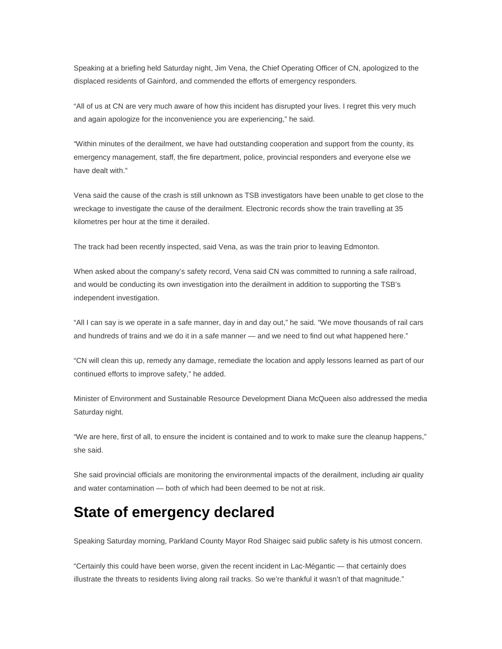Speaking at a briefing held Saturday night, Jim Vena, the Chief Operating Officer of CN, apologized to the displaced residents of Gainford, and commended the efforts of emergency responders.

"All of us at CN are very much aware of how this incident has disrupted your lives. I regret this very much and again apologize for the inconvenience you are experiencing," he said.

"Within minutes of the derailment, we have had outstanding cooperation and support from the county, its emergency management, staff, the fire department, police, provincial responders and everyone else we have dealt with."

Vena said the cause of the crash is still unknown as TSB investigators have been unable to get close to the wreckage to investigate the cause of the derailment. Electronic records show the train travelling at 35 kilometres per hour at the time it derailed.

The track had been recently inspected, said Vena, as was the train prior to leaving Edmonton.

When asked about the company's safety record, Vena said CN was committed to running a safe railroad, and would be conducting its own investigation into the derailment in addition to supporting the TSB's independent investigation.

"All I can say is we operate in a safe manner, day in and day out," he said. "We move thousands of rail cars and hundreds of trains and we do it in a safe manner — and we need to find out what happened here."

"CN will clean this up, remedy any damage, remediate the location and apply lessons learned as part of our continued efforts to improve safety," he added.

Minister of Environment and Sustainable Resource Development Diana McQueen also addressed the media Saturday night.

"We are here, first of all, to ensure the incident is contained and to work to make sure the cleanup happens," she said.

She said provincial officials are monitoring the environmental impacts of the derailment, including air quality and water contamination — both of which had been deemed to be not at risk.

### **State of emergency declared**

Speaking Saturday morning, Parkland County Mayor Rod Shaigec said public safety is his utmost concern.

"Certainly this could have been worse, given the recent incident in Lac-Mégantic — that certainly does illustrate the threats to residents living along rail tracks. So we're thankful it wasn't of that magnitude."